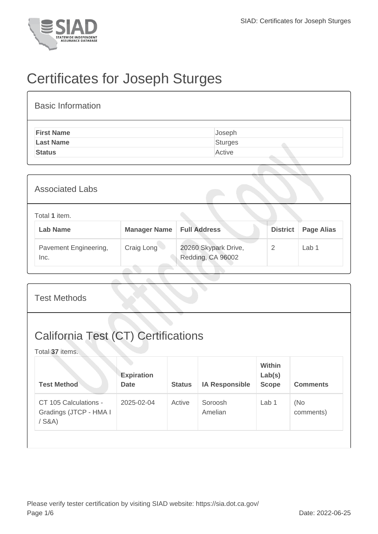

## Certificates for Joseph Sturges

| <b>Basic Information</b> |         |
|--------------------------|---------|
| <b>First Name</b>        | Joseph  |
| <b>Last Name</b>         | Sturges |
| <b>Status</b>            | Active  |

| <b>Associated Labs</b>           |                     |                                           |                 |                   |  |  |  |
|----------------------------------|---------------------|-------------------------------------------|-----------------|-------------------|--|--|--|
| Total 1 item.<br><b>Lab Name</b> | <b>Manager Name</b> | <b>Full Address</b>                       | <b>District</b> | <b>Page Alias</b> |  |  |  |
| Pavement Engineering,<br>Inc.    | Craig Long          | 20260 Skypark Drive,<br>Redding, CA 96002 | 2               | Lab <sub>1</sub>  |  |  |  |

| <b>Test Methods</b>                                           |                                  |               |                       |                                         |                   |  |  |  |
|---------------------------------------------------------------|----------------------------------|---------------|-----------------------|-----------------------------------------|-------------------|--|--|--|
| <b>California Test (CT) Certifications</b><br>Total 37 items. |                                  |               |                       |                                         |                   |  |  |  |
| <b>Test Method</b>                                            | <b>Expiration</b><br><b>Date</b> | <b>Status</b> | <b>IA Responsible</b> | <b>Within</b><br>Lab(s)<br><b>Scope</b> | <b>Comments</b>   |  |  |  |
| CT 105 Calculations -<br>Gradings (JTCP - HMA I<br>$/$ S&A)   | 2025-02-04                       | Active        | Soroosh<br>Amelian    | Lab 1                                   | (No)<br>comments) |  |  |  |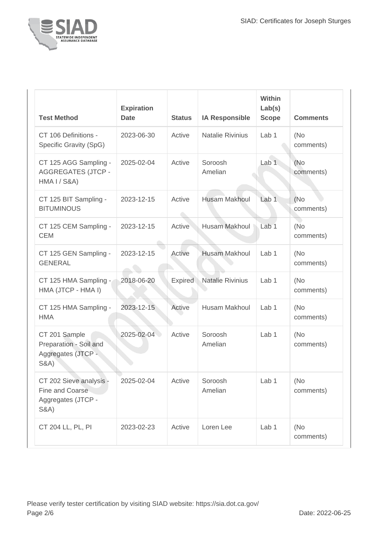

| <b>Test Method</b>                                                                  | <b>Expiration</b><br><b>Date</b> | <b>Status</b> | <b>IA Responsible</b>   | Within<br>Lab(s)<br><b>Scope</b> | <b>Comments</b>   |
|-------------------------------------------------------------------------------------|----------------------------------|---------------|-------------------------|----------------------------------|-------------------|
| CT 106 Definitions -<br>Specific Gravity (SpG)                                      | 2023-06-30                       | Active        | <b>Natalie Rivinius</b> | Lab <sub>1</sub>                 | (No)<br>comments) |
| CT 125 AGG Sampling -<br><b>AGGREGATES (JTCP -</b><br>HMA I / S&A)                  | 2025-02-04                       | Active        | Soroosh<br>Amelian      | Lab <sub>1</sub>                 | (No<br>comments)  |
| CT 125 BIT Sampling -<br><b>BITUMINOUS</b>                                          | 2023-12-15                       | Active        | <b>Husam Makhoul</b>    | Lab <sub>1</sub>                 | (No)<br>comments) |
| CT 125 CEM Sampling -<br><b>CEM</b>                                                 | 2023-12-15                       | Active        | <b>Husam Makhoul</b>    | Lab <sub>1</sub>                 | (No<br>comments)  |
| CT 125 GEN Sampling -<br><b>GENERAL</b>                                             | 2023-12-15                       | Active        | <b>Husam Makhoul</b>    | Lab <sub>1</sub>                 | (No)<br>comments) |
| CT 125 HMA Sampling -<br>HMA (JTCP - HMA I)                                         | 2018-06-20                       | Expired       | <b>Natalie Rivinius</b> | Lab <sub>1</sub>                 | (No<br>comments)  |
| CT 125 HMA Sampling -<br><b>HMA</b>                                                 | 2023-12-15                       | Active        | Husam Makhoul           | Lab <sub>1</sub>                 | (No<br>comments)  |
| CT 201 Sample<br>Preparation - Soil and<br>Aggregates (JTCP -<br><b>S&amp;A)</b>    | 2025-02-04                       | Active        | Soroosh<br>Amelian      | Lab <sub>1</sub>                 | (No<br>comments)  |
| CT 202 Sieve analysis -<br>Fine and Coarse<br>Aggregates (JTCP -<br><b>S&amp;A)</b> | 2025-02-04                       | Active        | Soroosh<br>Amelian      | Lab 1                            | (No<br>comments)  |
| CT 204 LL, PL, PI                                                                   | 2023-02-23                       | Active        | Loren Lee               | Lab 1                            | (No<br>comments)  |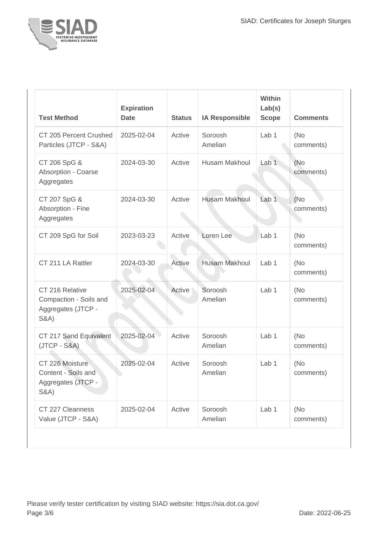

| <b>Test Method</b>                                                                 | <b>Expiration</b><br><b>Date</b> | <b>Status</b> | <b>IA Responsible</b> | Within<br>Lab(s)<br><b>Scope</b> | <b>Comments</b>   |
|------------------------------------------------------------------------------------|----------------------------------|---------------|-----------------------|----------------------------------|-------------------|
| CT 205 Percent Crushed<br>Particles (JTCP - S&A)                                   | 2025-02-04                       | Active        | Soroosh<br>Amelian    | Lab <sub>1</sub>                 | (No<br>comments)  |
| CT 206 SpG &<br>Absorption - Coarse<br>Aggregates                                  | 2024-03-30                       | Active        | Husam Makhoul         | Lab <sub>1</sub>                 | (No<br>comments)  |
| CT 207 SpG &<br>Absorption - Fine<br>Aggregates                                    | 2024-03-30                       | Active        | <b>Husam Makhoul</b>  | Lab <sub>1</sub>                 | (No)<br>comments) |
| CT 209 SpG for Soil                                                                | 2023-03-23                       | Active        | Loren Lee             | Lab <sub>1</sub>                 | (No<br>comments)  |
| CT 211 LA Rattler                                                                  | 2024-03-30                       | Active        | <b>Husam Makhoul</b>  | Lab 1                            | (No<br>comments)  |
| CT 216 Relative<br>Compaction - Soils and<br>Aggregates (JTCP -<br><b>S&amp;A)</b> | 2025-02-04                       | Active        | Soroosh<br>Amelian    | Lab <sub>1</sub>                 | (No<br>comments)  |
| CT 217 Sand Equivalent<br>$(JTCP - S&A)$                                           | 2025-02-04                       | Active        | Soroosh<br>Amelian    | Lab <sub>1</sub>                 | (No<br>comments)  |
| CT 226 Moisture<br>Content - Soils and<br>Aggregates (JTCP -<br><b>S&amp;A</b> )   | 2025-02-04                       | Active        | Soroosh<br>Amelian    | Lab <sub>1</sub>                 | (No<br>comments)  |
| CT 227 Cleanness<br>Value (JTCP - S&A)                                             | 2025-02-04                       | Active        | Soroosh<br>Amelian    | Lab 1                            | (No<br>comments)  |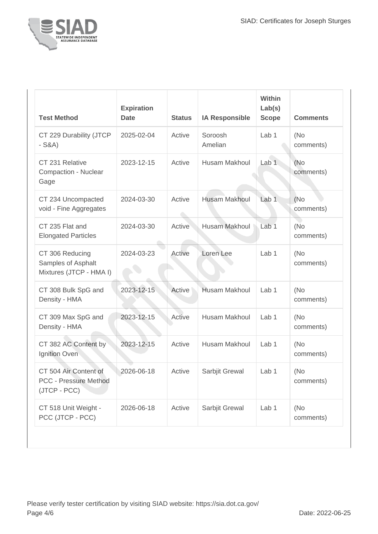

| <b>Test Method</b>                                                    | <b>Expiration</b><br><b>Date</b> | <b>Status</b> | <b>IA Responsible</b> | Within<br>Lab(s)<br><b>Scope</b> | <b>Comments</b>   |
|-----------------------------------------------------------------------|----------------------------------|---------------|-----------------------|----------------------------------|-------------------|
| CT 229 Durability (JTCP<br>$-S&A)$                                    | 2025-02-04                       | Active        | Soroosh<br>Amelian    | Lab <sub>1</sub>                 | (No<br>comments)  |
| CT 231 Relative<br><b>Compaction - Nuclear</b><br>Gage                | 2023-12-15                       | Active        | Husam Makhoul         | Lab <sub>1</sub>                 | (No<br>comments)  |
| CT 234 Uncompacted<br>void - Fine Aggregates                          | 2024-03-30                       | Active        | <b>Husam Makhoul</b>  | Lab <sub>1</sub>                 | (No)<br>comments) |
| CT 235 Flat and<br><b>Elongated Particles</b>                         | 2024-03-30                       | Active        | <b>Husam Makhoul</b>  | Lab <sub>1</sub>                 | (No)<br>comments) |
| CT 306 Reducing<br>Samples of Asphalt<br>Mixtures (JTCP - HMA I)      | 2024-03-23                       | Active        | Loren Lee             | Lab 1                            | (No<br>comments)  |
| CT 308 Bulk SpG and<br>Density - HMA                                  | 2023-12-15                       | Active        | <b>Husam Makhoul</b>  | Lab <sub>1</sub>                 | (No<br>comments)  |
| CT 309 Max SpG and<br>Density - HMA                                   | 2023-12-15                       | Active        | Husam Makhoul         | Lab <sub>1</sub>                 | (No<br>comments)  |
| CT 382 AC Content by<br>Ignition Oven                                 | 2023-12-15                       | Active        | Husam Makhoul         | Lab <sub>1</sub>                 | (No<br>comments)  |
| CT 504 Air Content of<br><b>PCC - Pressure Method</b><br>(JTCP - PCC) | 2026-06-18                       | Active        | Sarbjit Grewal        | Lab 1                            | (No<br>comments)  |
| CT 518 Unit Weight -<br>PCC (JTCP - PCC)                              | 2026-06-18                       | Active        | Sarbjit Grewal        | Lab 1                            | (No)<br>comments) |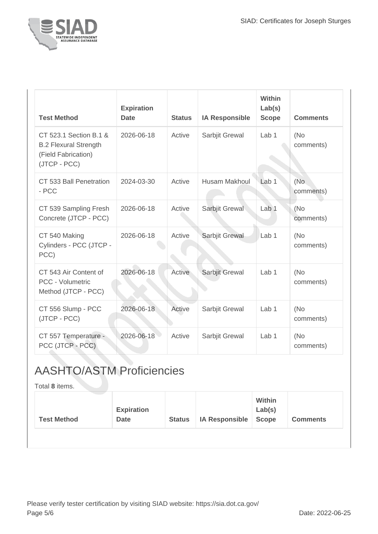

| <b>Test Method</b>                                                                            | <b>Expiration</b><br><b>Date</b> | <b>Status</b> | <b>IA Responsible</b> | <b>Within</b><br>Lab(s)<br><b>Scope</b> | <b>Comments</b>   |
|-----------------------------------------------------------------------------------------------|----------------------------------|---------------|-----------------------|-----------------------------------------|-------------------|
| CT 523.1 Section B.1 &<br><b>B.2 Flexural Strength</b><br>(Field Fabrication)<br>(JTCP - PCC) | 2026-06-18                       | Active        | Sarbjit Grewal        | Lab <sub>1</sub>                        | (No)<br>comments) |
| CT 533 Ball Penetration<br>- PCC                                                              | 2024-03-30                       | Active        | <b>Husam Makhoul</b>  | Lab <sub>1</sub>                        | (No)<br>comments) |
| CT 539 Sampling Fresh<br>Concrete (JTCP - PCC)                                                | 2026-06-18                       | Active        | Sarbjit Grewal        | Lab 1                                   | (No<br>comments)  |
| CT 540 Making<br>Cylinders - PCC (JTCP -<br>PCC)                                              | 2026-06-18                       | Active        | Sarbjit Grewal        | Lab 1                                   | (No<br>comments)  |
| CT 543 Air Content of<br><b>PCC - Volumetric</b><br>Method (JTCP - PCC)                       | 2026-06-18                       | Active        | Sarbjit Grewal        | Lab <sub>1</sub>                        | (No<br>comments)  |
| CT 556 Slump - PCC<br>(JTCP - PCC)                                                            | 2026-06-18                       | Active        | Sarbjit Grewal        | Lab 1                                   | (No)<br>comments) |
| CT 557 Temperature -<br>PCC (JTCP - PCC)                                                      | 2026-06-18                       | Active        | Sarbjit Grewal        | Lab <sub>1</sub>                        | (No)<br>comments) |

## AASHTO/ASTM Proficiencies

Total **8** items.

| <b>Test Method</b> | <b>Expiration</b><br><b>Date</b> | <b>Status</b> | <b>IA Responsible</b> | <b>Within</b><br>Lab(s)<br><b>Scope</b> | <b>Comments</b> |
|--------------------|----------------------------------|---------------|-----------------------|-----------------------------------------|-----------------|
|                    |                                  |               |                       |                                         |                 |